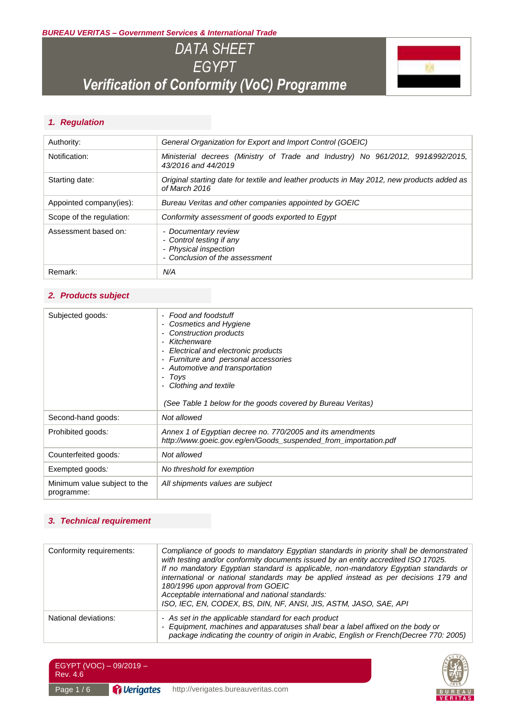*BUREAU VERITAS – Government Services & International Trade*

# *DATA SHEET EGYPT Verification of Conformity (VoC) Programme*



### *1. Regulation*

| Authority:               | General Organization for Export and Import Control (GOEIC)                                                  |  |
|--------------------------|-------------------------------------------------------------------------------------------------------------|--|
| Notification:            | Ministerial decrees (Ministry of Trade and Industry) No 961/2012, 991&992/2015,<br>43/2016 and 44/2019      |  |
| Starting date:           | Original starting date for textile and leather products in May 2012, new products added as<br>of March 2016 |  |
| Appointed company(ies):  | Bureau Veritas and other companies appointed by GOEIC                                                       |  |
| Scope of the regulation: | Conformity assessment of goods exported to Egypt                                                            |  |
| Assessment based on:     | - Documentary review<br>- Control testing if any<br>- Physical inspection<br>- Conclusion of the assessment |  |
| Remark:                  | N/A                                                                                                         |  |

#### *2. Products subject*

| Subjected goods:                           | Food and foodstuff<br>Cosmetics and Hygiene<br>Construction products<br>Kitchenware<br>Electrical and electronic products<br>Furniture and personal accessories<br>Automotive and transportation<br>Toys<br>Clothing and textile<br>(See Table 1 below for the goods covered by Bureau Veritas) |
|--------------------------------------------|-------------------------------------------------------------------------------------------------------------------------------------------------------------------------------------------------------------------------------------------------------------------------------------------------|
| Second-hand goods:                         | Not allowed                                                                                                                                                                                                                                                                                     |
| Prohibited goods:                          | Annex 1 of Egyptian decree no. 770/2005 and its amendments<br>http://www.goeic.gov.eg/en/Goods_suspended_from_importation.pdf                                                                                                                                                                   |
| Counterfeited goods:                       | Not allowed                                                                                                                                                                                                                                                                                     |
| Exempted goods:                            | No threshold for exemption                                                                                                                                                                                                                                                                      |
| Minimum value subject to the<br>programme: | All shipments values are subject                                                                                                                                                                                                                                                                |
|                                            |                                                                                                                                                                                                                                                                                                 |

### *3. Technical requirement*

| Conformity requirements: | Compliance of goods to mandatory Egyptian standards in priority shall be demonstrated<br>with testing and/or conformity documents issued by an entity accredited ISO 17025.<br>If no mandatory Egyptian standard is applicable, non-mandatory Egyptian standards or<br>international or national standards may be applied instead as per decisions 179 and<br>180/1996 upon approval from GOEIC<br>Acceptable international and national standards:<br>ISO, IEC, EN, CODEX, BS, DIN, NF, ANSI, JIS, ASTM, JASO, SAE, API |
|--------------------------|--------------------------------------------------------------------------------------------------------------------------------------------------------------------------------------------------------------------------------------------------------------------------------------------------------------------------------------------------------------------------------------------------------------------------------------------------------------------------------------------------------------------------|
| National deviations:     | - As set in the applicable standard for each product<br>Equipment, machines and apparatuses shall bear a label affixed on the body or<br>package indicating the country of origin in Arabic, English or French(Decree 770: 2005)                                                                                                                                                                                                                                                                                         |

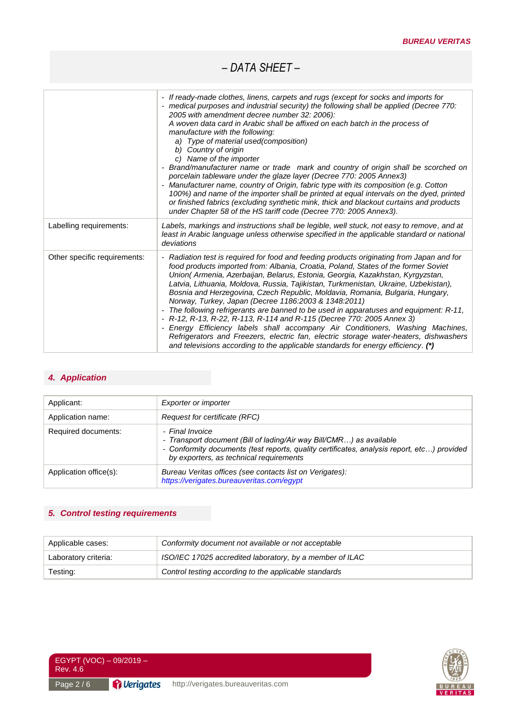|                              | - If ready-made clothes, linens, carpets and rugs (except for socks and imports for<br>- medical purposes and industrial security) the following shall be applied (Decree 770:<br>2005 with amendment decree number 32: 2006):<br>A woven data card in Arabic shall be affixed on each batch in the process of<br>manufacture with the following:<br>a) Type of material used(composition)<br>b) Country of origin<br>c) Name of the importer<br>Brand/manufacturer name or trade mark and country of origin shall be scorched on<br>porcelain tableware under the glaze layer (Decree 770: 2005 Annex3)<br>Manufacturer name, country of Origin, fabric type with its composition (e.g. Cotton<br>100%) and name of the importer shall be printed at equal intervals on the dyed, printed<br>or finished fabrics (excluding synthetic mink, thick and blackout curtains and products<br>under Chapter 58 of the HS tariff code (Decree 770: 2005 Annex3). |
|------------------------------|------------------------------------------------------------------------------------------------------------------------------------------------------------------------------------------------------------------------------------------------------------------------------------------------------------------------------------------------------------------------------------------------------------------------------------------------------------------------------------------------------------------------------------------------------------------------------------------------------------------------------------------------------------------------------------------------------------------------------------------------------------------------------------------------------------------------------------------------------------------------------------------------------------------------------------------------------------|
| Labelling requirements:      | Labels, markings and instructions shall be legible, well stuck, not easy to remove, and at<br>least in Arabic language unless otherwise specified in the applicable standard or national<br>deviations                                                                                                                                                                                                                                                                                                                                                                                                                                                                                                                                                                                                                                                                                                                                                     |
| Other specific requirements: | - Radiation test is required for food and feeding products originating from Japan and for<br>food products imported from: Albania, Croatia, Poland, States of the former Soviet<br>Union(Armenia, Azerbaijan, Belarus, Estonia, Georgia, Kazakhstan, Kyrgyzstan,<br>Latvia, Lithuania, Moldova, Russia, Tajikistan, Turkmenistan, Ukraine, Uzbekistan),<br>Bosnia and Herzegovina, Czech Republic, Moldavia, Romania, Bulgaria, Hungary,<br>Norway, Turkey, Japan (Decree 1186:2003 & 1348:2011)<br>- The following refrigerants are banned to be used in apparatuses and equipment: R-11,<br>- R-12, R-13, R-22, R-113, R-114 and R-115 (Decree 770: 2005 Annex 3)<br>- Energy Efficiency labels shall accompany Air Conditioners, Washing Machines,<br>Refrigerators and Freezers, electric fan, electric storage water-heaters, dishwashers<br>and televisions according to the applicable standards for energy efficiency. (*)                         |

### *4. Application*

| Applicant:             | Exporter or importer                                                                                                                                                                                                            |
|------------------------|---------------------------------------------------------------------------------------------------------------------------------------------------------------------------------------------------------------------------------|
| Application name:      | Request for certificate (RFC)                                                                                                                                                                                                   |
| Required documents:    | - Final Invoice<br>- Transport document (Bill of lading/Air way Bill/CMR) as available<br>- Conformity documents (test reports, quality certificates, analysis report, etc) provided<br>by exporters, as technical requirements |
| Application office(s): | Bureau Veritas offices (see contacts list on Verigates):<br>https://verigates.bureauveritas.com/egypt                                                                                                                           |

## *5. Control testing requirements*

| Applicable cases:    | Conformity document not available or not acceptable      |  |
|----------------------|----------------------------------------------------------|--|
| Laboratory criteria: | ISO/IEC 17025 accredited laboratory, by a member of ILAC |  |
| Testing:             | Control testing according to the applicable standards    |  |



EGYPT (VOC) – 09/2019 – Rev. 4.6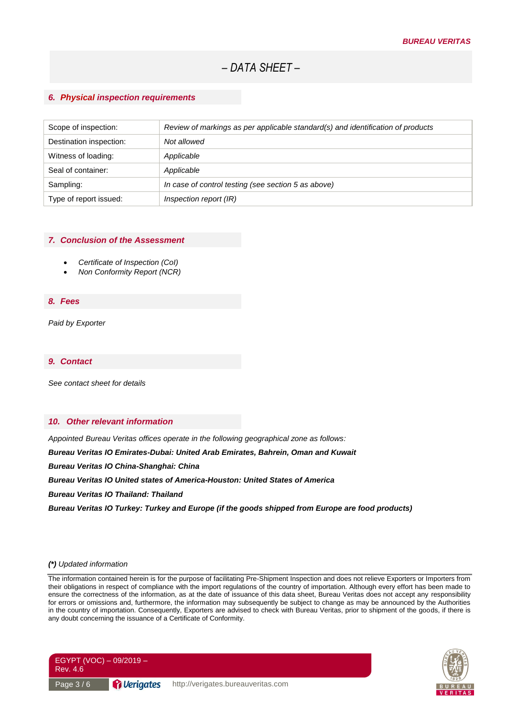#### *6. Physical inspection requirements*

| Scope of inspection:    | Review of markings as per applicable standard(s) and identification of products |
|-------------------------|---------------------------------------------------------------------------------|
| Destination inspection: | Not allowed                                                                     |
| Witness of loading:     | Applicable                                                                      |
| Seal of container:      | Applicable                                                                      |
| Sampling:               | In case of control testing (see section 5 as above)                             |
| Type of report issued:  | Inspection report (IR)                                                          |

#### *7. Conclusion of the Assessment*

- *Certificate of Inspection (CoI)*
- *Non Conformity Report (NCR)*

#### *8. Fees*

*Paid by Exporter*

#### *9. Contact*

*See contact sheet for details*

#### *10. Other relevant information*

*Appointed Bureau Veritas offices operate in the following geographical zone as follows:*

*Bureau Veritas IO Emirates-Dubai: United Arab Emirates, Bahrein, Oman and Kuwait* 

*Bureau Veritas IO China-Shanghai: China* 

*Bureau Veritas IO United states of America-Houston: United States of America* 

*Bureau Veritas IO Thailand: Thailand* 

*Bureau Veritas IO Turkey: Turkey and Europe (if the goods shipped from Europe are food products)*

#### *(\*) Updated information*

The information contained herein is for the purpose of facilitating Pre-Shipment Inspection and does not relieve Exporters or Importers from their obligations in respect of compliance with the import regulations of the country of importation. Although every effort has been made to ensure the correctness of the information, as at the date of issuance of this data sheet, Bureau Veritas does not accept any responsibility for errors or omissions and, furthermore, the information may subsequently be subject to change as may be announced by the Authorities in the country of importation. Consequently, Exporters are advised to check with Bureau Veritas, prior to shipment of the goods, if there is any doubt concerning the issuance of a Certificate of Conformity.



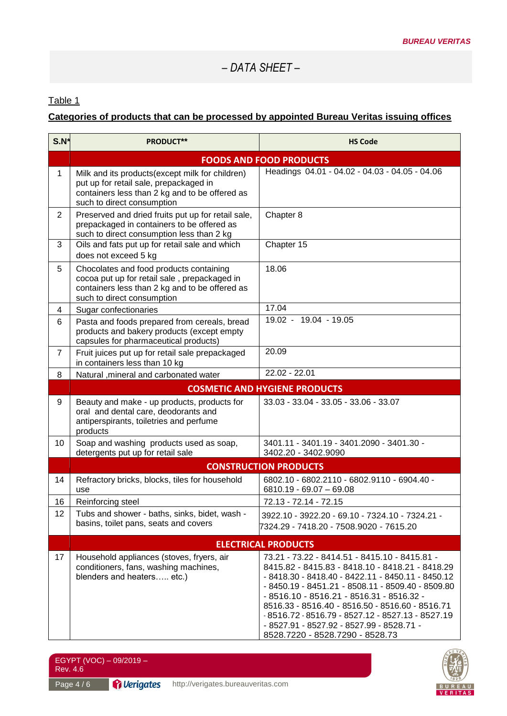### Table 1

## **Categories of products that can be processed by appointed Bureau Veritas issuing offices**

| $S.N^*$        | <b>PRODUCT**</b>                                                                                                                                                          | <b>HS Code</b>                                                                                                                                                                                                                                                                                                                                                                                                                                 |  |
|----------------|---------------------------------------------------------------------------------------------------------------------------------------------------------------------------|------------------------------------------------------------------------------------------------------------------------------------------------------------------------------------------------------------------------------------------------------------------------------------------------------------------------------------------------------------------------------------------------------------------------------------------------|--|
|                | <b>FOODS AND FOOD PRODUCTS</b>                                                                                                                                            |                                                                                                                                                                                                                                                                                                                                                                                                                                                |  |
| $\mathbf{1}$   | Milk and its products(except milk for children)<br>put up for retail sale, prepackaged in<br>containers less than 2 kg and to be offered as<br>such to direct consumption | Headings 04.01 - 04.02 - 04.03 - 04.05 - 04.06                                                                                                                                                                                                                                                                                                                                                                                                 |  |
| $\overline{2}$ | Preserved and dried fruits put up for retail sale,<br>prepackaged in containers to be offered as<br>such to direct consumption less than 2 kg                             | Chapter 8                                                                                                                                                                                                                                                                                                                                                                                                                                      |  |
| 3              | Oils and fats put up for retail sale and which<br>does not exceed 5 kg                                                                                                    | Chapter 15                                                                                                                                                                                                                                                                                                                                                                                                                                     |  |
| 5              | Chocolates and food products containing<br>cocoa put up for retail sale, prepackaged in<br>containers less than 2 kg and to be offered as<br>such to direct consumption   | 18.06                                                                                                                                                                                                                                                                                                                                                                                                                                          |  |
| 4              | Sugar confectionaries                                                                                                                                                     | 17.04                                                                                                                                                                                                                                                                                                                                                                                                                                          |  |
| 6              | Pasta and foods prepared from cereals, bread<br>products and bakery products (except empty<br>capsules for pharmaceutical products)                                       | 19.02 - 19.04 - 19.05                                                                                                                                                                                                                                                                                                                                                                                                                          |  |
| $\overline{7}$ | Fruit juices put up for retail sale prepackaged<br>in containers less than 10 kg                                                                                          | 20.09                                                                                                                                                                                                                                                                                                                                                                                                                                          |  |
| 8              | Natural , mineral and carbonated water                                                                                                                                    | 22.02 - 22.01                                                                                                                                                                                                                                                                                                                                                                                                                                  |  |
|                | <b>COSMETIC AND HYGIENE PRODUCTS</b>                                                                                                                                      |                                                                                                                                                                                                                                                                                                                                                                                                                                                |  |
| 9              | Beauty and make - up products, products for<br>oral and dental care, deodorants and<br>antiperspirants, toiletries and perfume<br>products                                | 33.03 - 33.04 - 33.05 - 33.06 - 33.07                                                                                                                                                                                                                                                                                                                                                                                                          |  |
| 10             | Soap and washing products used as soap,<br>detergents put up for retail sale                                                                                              | 3401.11 - 3401.19 - 3401.2090 - 3401.30 -<br>3402.20 - 3402.9090                                                                                                                                                                                                                                                                                                                                                                               |  |
|                |                                                                                                                                                                           | <b>CONSTRUCTION PRODUCTS</b>                                                                                                                                                                                                                                                                                                                                                                                                                   |  |
| 14             | Refractory bricks, blocks, tiles for household<br>use                                                                                                                     | 6802.10 - 6802.2110 - 6802.9110 - 6904.40 -<br>$6810.19 - 69.07 - 69.08$                                                                                                                                                                                                                                                                                                                                                                       |  |
| 16             | Reinforcing steel                                                                                                                                                         | 72.13 - 72.14 - 72.15                                                                                                                                                                                                                                                                                                                                                                                                                          |  |
| 12             | Tubs and shower - baths, sinks, bidet, wash -<br>basins, toilet pans, seats and covers                                                                                    | 3922.10 - 3922.20 - 69.10 - 7324.10 - 7324.21 -<br>7324.29 - 7418.20 - 7508.9020 - 7615.20                                                                                                                                                                                                                                                                                                                                                     |  |
|                | <b>ELECTRICAL PRODUCTS</b>                                                                                                                                                |                                                                                                                                                                                                                                                                                                                                                                                                                                                |  |
| 17             | Household appliances (stoves, fryers, air<br>conditioners, fans, washing machines,<br>blenders and heaters etc.)                                                          | 73.21 - 73.22 - 8414.51 - 8415.10 - 8415.81 -<br>8415.82 - 8415.83 - 8418.10 - 8418.21 - 8418.29<br>- 8418.30 - 8418.40 - 8422.11 - 8450.11 - 8450.12<br>- 8450.19 - 8451.21 - 8508.11 - 8509.40 - 8509.80<br>- 8516.10 - 8516.21 - 8516.31 - 8516.32 -<br>8516.33 - 8516.40 - 8516.50 - 8516.60 - 8516.71<br>-8516.72 - 8516.79 - 8527.12 - 8527.13 - 8527.19<br>- 8527.91 - 8527.92 - 8527.99 - 8528.71 -<br>8528.7220 - 8528.7290 - 8528.73 |  |



Page 4/6

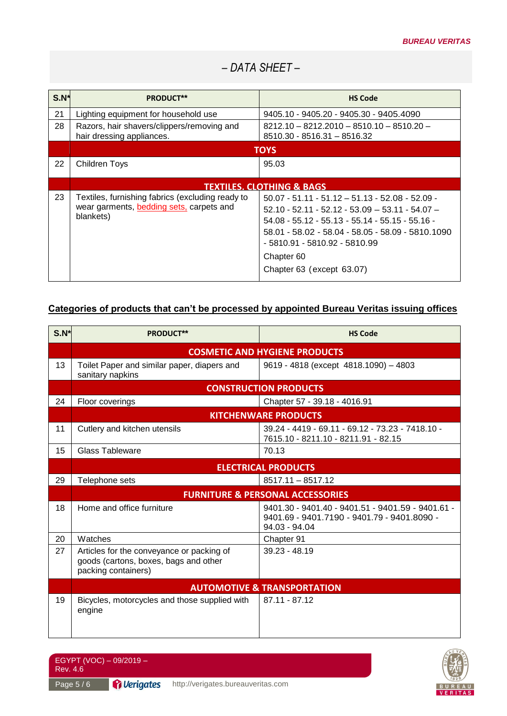| $S.N^*$ | PRODUCT**                                                                                                 | <b>HS Code</b>                                                                                                                                                                                                                                                                               |
|---------|-----------------------------------------------------------------------------------------------------------|----------------------------------------------------------------------------------------------------------------------------------------------------------------------------------------------------------------------------------------------------------------------------------------------|
| 21      | Lighting equipment for household use                                                                      | 9405.10 - 9405.20 - 9405.30 - 9405.4090                                                                                                                                                                                                                                                      |
| 28      | Razors, hair shavers/clippers/removing and<br>hair dressing appliances.                                   | $8212.10 - 8212.2010 - 8510.10 - 8510.20 -$<br>8510.30 - 8516.31 - 8516.32                                                                                                                                                                                                                   |
|         | <b>TOYS</b>                                                                                               |                                                                                                                                                                                                                                                                                              |
| 22      | <b>Children Toys</b>                                                                                      | 95.03                                                                                                                                                                                                                                                                                        |
|         | <b>TEXTILES. CLOTHING &amp; BAGS</b>                                                                      |                                                                                                                                                                                                                                                                                              |
| 23      | Textiles, furnishing fabrics (excluding ready to<br>wear garments, bedding sets, carpets and<br>blankets) | $50.07 - 51.11 - 51.12 - 51.13 - 52.08 - 52.09 -$<br>$52.10 - 52.11 - 52.12 - 53.09 - 53.11 - 54.07 -$<br>$54.08 - 55.12 - 55.13 - 55.14 - 55.15 - 55.16 -$<br>58.01 - 58.02 - 58.04 - 58.05 - 58.09 - 5810.1090<br>- 5810.91 - 5810.92 - 5810.99<br>Chapter 60<br>Chapter 63 (except 63.07) |

## **Categories of products that can't be processed by appointed Bureau Veritas issuing offices**

| $S.N*$ | <b>PRODUCT**</b>                                                                                          | <b>HS Code</b>                                                                                                    |  |
|--------|-----------------------------------------------------------------------------------------------------------|-------------------------------------------------------------------------------------------------------------------|--|
|        | <b>COSMETIC AND HYGIENE PRODUCTS</b>                                                                      |                                                                                                                   |  |
| 13     | Toilet Paper and similar paper, diapers and<br>sanitary napkins                                           | 9619 - 4818 (except 4818.1090) - 4803                                                                             |  |
|        |                                                                                                           | <b>CONSTRUCTION PRODUCTS</b>                                                                                      |  |
| 24     | Floor coverings                                                                                           | Chapter 57 - 39.18 - 4016.91                                                                                      |  |
|        |                                                                                                           | <b>KITCHENWARE PRODUCTS</b>                                                                                       |  |
| 11     | Cutlery and kitchen utensils                                                                              | 39.24 - 4419 - 69.11 - 69.12 - 73.23 - 7418.10 -<br>7615.10 - 8211.10 - 8211.91 - 82.15                           |  |
| 15     | <b>Glass Tableware</b>                                                                                    | 70.13                                                                                                             |  |
|        | <b>ELECTRICAL PRODUCTS</b>                                                                                |                                                                                                                   |  |
| 29     | Telephone sets                                                                                            | $8517.11 - 8517.12$                                                                                               |  |
|        | <b>FURNITURE &amp; PERSONAL ACCESSORIES</b>                                                               |                                                                                                                   |  |
| 18     | Home and office furniture                                                                                 | 9401.30 - 9401.40 - 9401.51 - 9401.59 - 9401.61 -<br>9401.69 - 9401.7190 - 9401.79 - 9401.8090 -<br>94.03 - 94.04 |  |
| 20     | Watches                                                                                                   | Chapter 91                                                                                                        |  |
| 27     | Articles for the conveyance or packing of<br>goods (cartons, boxes, bags and other<br>packing containers) | 39.23 - 48.19                                                                                                     |  |
|        | <b>AUTOMOTIVE &amp; TRANSPORTATION</b>                                                                    |                                                                                                                   |  |
| 19     | Bicycles, motorcycles and those supplied with<br>engine                                                   | 87.11 - 87.12                                                                                                     |  |

EGYPT (VOC) – 09/2019 – Rev. 4.6



Page 5 / 6 **Py Verigates** http://verigates.bureauveritas.com